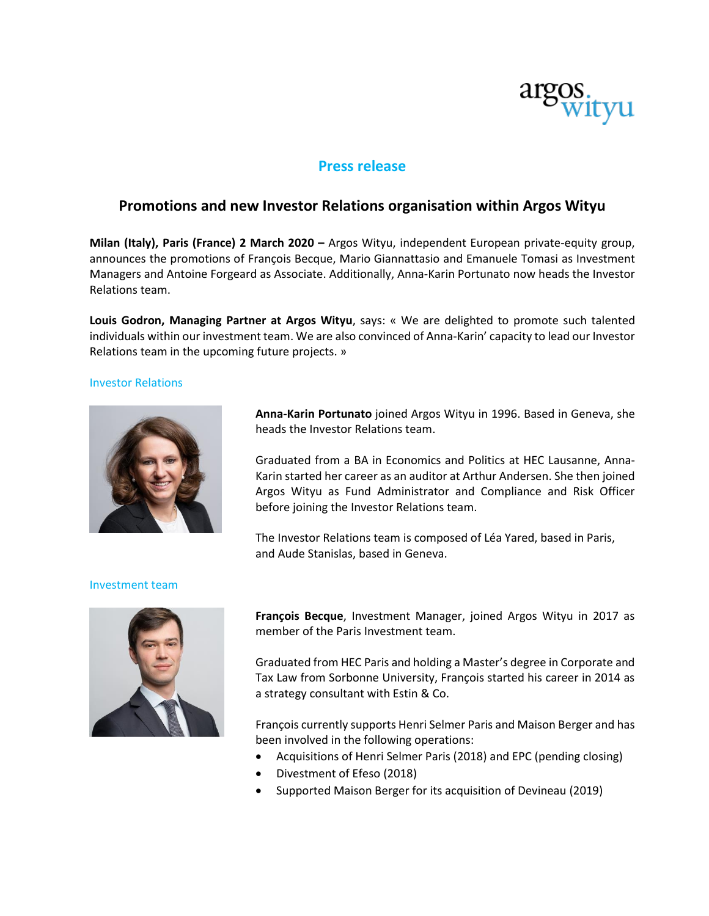

# **Press release**

## **Promotions and new Investor Relations organisation within Argos Wityu**

**Milan (Italy), Paris (France) 2 March 2020 –** Argos Wityu, independent European private-equity group, announces the promotions of François Becque, Mario Giannattasio and Emanuele Tomasi as Investment Managers and Antoine Forgeard as Associate. Additionally, Anna-Karin Portunato now heads the Investor Relations team.

**Louis Godron, Managing Partner at Argos Wityu**, says: « We are delighted to promote such talented individuals within our investment team. We are also convinced of Anna-Karin' capacity to lead our Investor Relations team in the upcoming future projects. »

#### Investor Relations



**Anna-Karin Portunato** joined Argos Wityu in 1996. Based in Geneva, she heads the Investor Relations team.

Graduated from a BA in Economics and Politics at HEC Lausanne, Anna-Karin started her career as an auditor at Arthur Andersen. She then joined Argos Wityu as Fund Administrator and Compliance and Risk Officer before joining the Investor Relations team.

The Investor Relations team is composed of Léa Yared, based in Paris, and Aude Stanislas, based in Geneva.

### Investment team



**François Becque**, Investment Manager, joined Argos Wityu in 2017 as member of the Paris Investment team.

Graduated from HEC Paris and holding a Master's degree in Corporate and Tax Law from Sorbonne University, François started his career in 2014 as a strategy consultant with Estin & Co.

François currently supports Henri Selmer Paris and Maison Berger and has been involved in the following operations:

- Acquisitions of Henri Selmer Paris (2018) and EPC (pending closing)
- Divestment of Efeso (2018)
- Supported Maison Berger for its acquisition of Devineau (2019)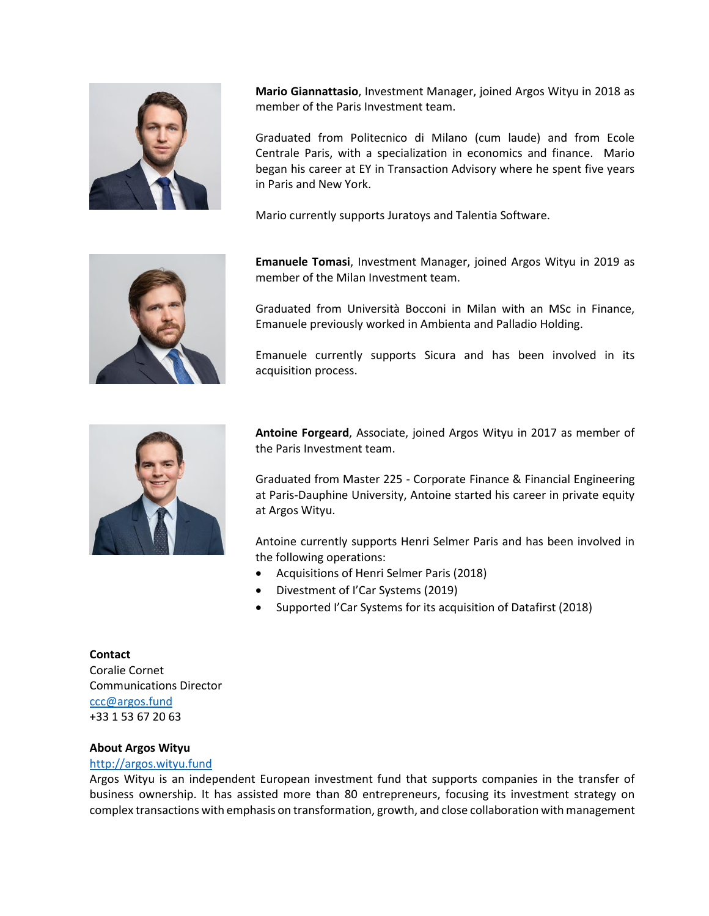

**Mario Giannattasio**, Investment Manager, joined Argos Wityu in 2018 as member of the Paris Investment team.

Graduated from Politecnico di Milano (cum laude) and from Ecole Centrale Paris, with a specialization in economics and finance. Mario began his career at EY in Transaction Advisory where he spent five years in Paris and New York.

Mario currently supports Juratoys and Talentia Software.



**Emanuele Tomasi**, Investment Manager, joined Argos Wityu in 2019 as member of the Milan Investment team.

Graduated from Università Bocconi in Milan with an MSc in Finance, Emanuele previously worked in Ambienta and Palladio Holding.

Emanuele currently supports Sicura and has been involved in its acquisition process.



**Antoine Forgeard**, Associate, joined Argos Wityu in 2017 as member of the Paris Investment team.

Graduated from Master 225 - Corporate Finance & Financial Engineering at Paris-Dauphine University, Antoine started his career in private equity at Argos Wityu.

Antoine currently supports Henri Selmer Paris and has been involved in the following operations:

- Acquisitions of Henri Selmer Paris (2018)
- Divestment of I'Car Systems (2019)
- Supported I'Car Systems for its acquisition of Datafirst (2018)

**Contact** Coralie Cornet Communications Director [ccc@argos.fund](mailto:ccc@argos.fund) +33 1 53 67 20 63

### **About Argos Wityu**

### [http://argos.wityu.fund](http://argos.wityu.fund/)

Argos Wityu is an independent European investment fund that supports companies in the transfer of business ownership. It has assisted more than 80 entrepreneurs, focusing its investment strategy on complex transactions with emphasis on transformation, growth, and close collaboration with management